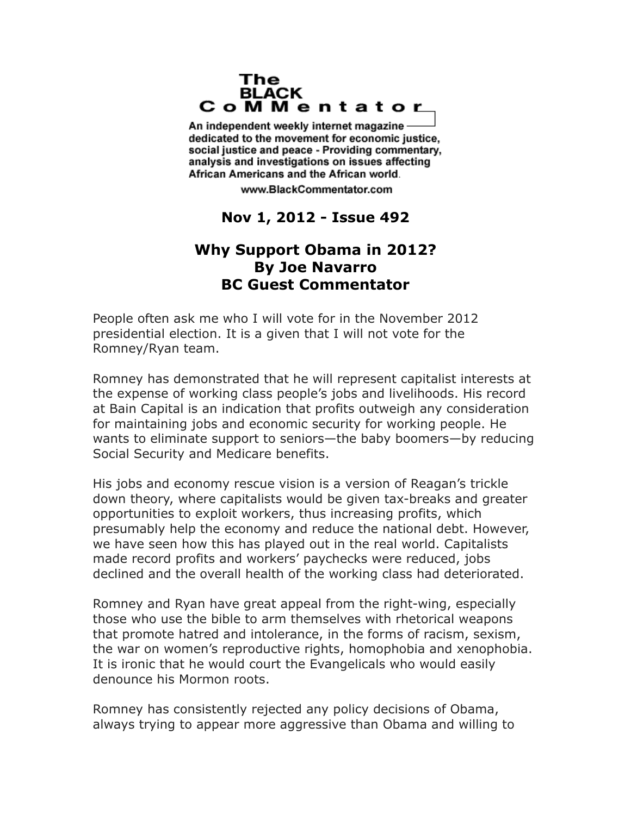## The **BLACK** CoMMentator

An independent weekly internet magazine dedicated to the movement for economic justice. social justice and peace - Providing commentary, analysis and investigations on issues affecting African Americans and the African world.

www.BlackCommentator.com

## **Nov 1, 2012 - Issue 492**

## **Why Support Obama in 2012? By Joe Navarro BC Guest Commentator**

People often ask me who I will vote for in the November 2012 presidential election. It is a given that I will not vote for the Romney/Ryan team.

Romney has demonstrated that he will represent capitalist interests at the expense of working class people's jobs and livelihoods. His record at Bain Capital is an indication that profits outweigh any consideration for maintaining jobs and economic security for working people. He wants to eliminate support to seniors—the baby boomers—by reducing Social Security and Medicare benefits.

His jobs and economy rescue vision is a version of Reagan's trickle down theory, where capitalists would be given tax-breaks and greater opportunities to exploit workers, thus increasing profits, which presumably help the economy and reduce the national debt. However, we have seen how this has played out in the real world. Capitalists made record profits and workers' paychecks were reduced, jobs declined and the overall health of the working class had deteriorated.

Romney and Ryan have great appeal from the right-wing, especially those who use the bible to arm themselves with rhetorical weapons that promote hatred and intolerance, in the forms of racism, sexism, the war on women's reproductive rights, homophobia and xenophobia. It is ironic that he would court the Evangelicals who would easily denounce his Mormon roots.

Romney has consistently rejected any policy decisions of Obama, always trying to appear more aggressive than Obama and willing to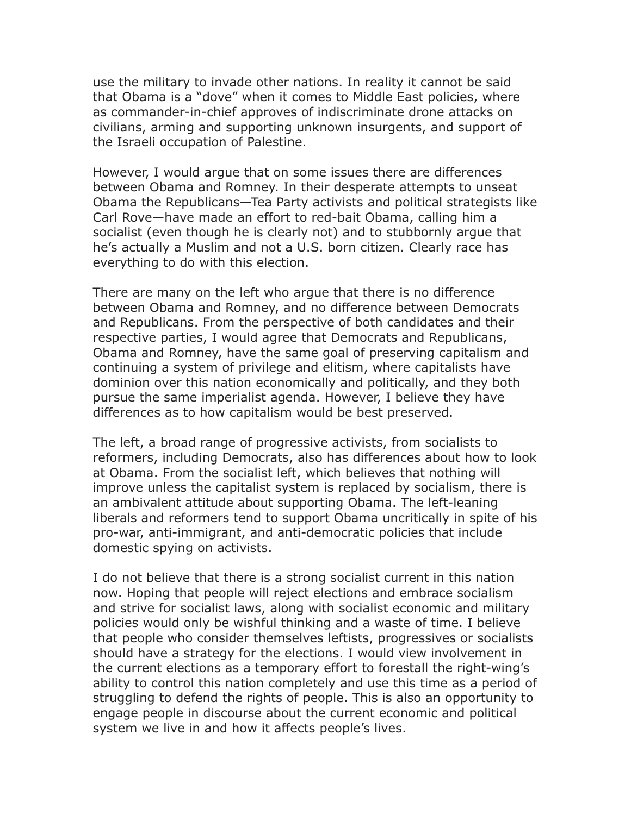use the military to invade other nations. In reality it cannot be said that Obama is a "dove" when it comes to Middle East policies, where as commander-in-chief approves of indiscriminate drone attacks on civilians, arming and supporting unknown insurgents, and support of the Israeli occupation of Palestine.

However, I would argue that on some issues there are differences between Obama and Romney. In their desperate attempts to unseat Obama the Republicans—Tea Party activists and political strategists like Carl Rove—have made an effort to red-bait Obama, calling him a socialist (even though he is clearly not) and to stubbornly argue that he's actually a Muslim and not a U.S. born citizen. Clearly race has everything to do with this election.

There are many on the left who argue that there is no difference between Obama and Romney, and no difference between Democrats and Republicans. From the perspective of both candidates and their respective parties, I would agree that Democrats and Republicans, Obama and Romney, have the same goal of preserving capitalism and continuing a system of privilege and elitism, where capitalists have dominion over this nation economically and politically, and they both pursue the same imperialist agenda. However, I believe they have differences as to how capitalism would be best preserved.

The left, a broad range of progressive activists, from socialists to reformers, including Democrats, also has differences about how to look at Obama. From the socialist left, which believes that nothing will improve unless the capitalist system is replaced by socialism, there is an ambivalent attitude about supporting Obama. The left-leaning liberals and reformers tend to support Obama uncritically in spite of his pro-war, anti-immigrant, and anti-democratic policies that include domestic spying on activists.

I do not believe that there is a strong socialist current in this nation now. Hoping that people will reject elections and embrace socialism and strive for socialist laws, along with socialist economic and military policies would only be wishful thinking and a waste of time. I believe that people who consider themselves leftists, progressives or socialists should have a strategy for the elections. I would view involvement in the current elections as a temporary effort to forestall the right-wing's ability to control this nation completely and use this time as a period of struggling to defend the rights of people. This is also an opportunity to engage people in discourse about the current economic and political system we live in and how it affects people's lives.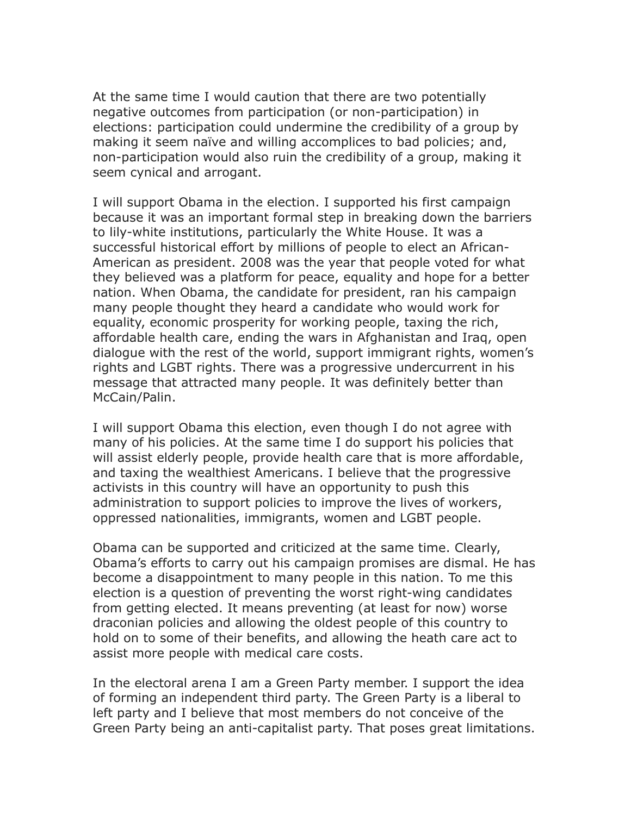At the same time I would caution that there are two potentially negative outcomes from participation (or non-participation) in elections: participation could undermine the credibility of a group by making it seem naïve and willing accomplices to bad policies; and, non-participation would also ruin the credibility of a group, making it seem cynical and arrogant.

I will support Obama in the election. I supported his first campaign because it was an important formal step in breaking down the barriers to lily-white institutions, particularly the White House. It was a successful historical effort by millions of people to elect an African-American as president. 2008 was the year that people voted for what they believed was a platform for peace, equality and hope for a better nation. When Obama, the candidate for president, ran his campaign many people thought they heard a candidate who would work for equality, economic prosperity for working people, taxing the rich, affordable health care, ending the wars in Afghanistan and Iraq, open dialogue with the rest of the world, support immigrant rights, women's rights and LGBT rights. There was a progressive undercurrent in his message that attracted many people. It was definitely better than McCain/Palin.

I will support Obama this election, even though I do not agree with many of his policies. At the same time I do support his policies that will assist elderly people, provide health care that is more affordable, and taxing the wealthiest Americans. I believe that the progressive activists in this country will have an opportunity to push this administration to support policies to improve the lives of workers, oppressed nationalities, immigrants, women and LGBT people.

Obama can be supported and criticized at the same time. Clearly, Obama's efforts to carry out his campaign promises are dismal. He has become a disappointment to many people in this nation. To me this election is a question of preventing the worst right-wing candidates from getting elected. It means preventing (at least for now) worse draconian policies and allowing the oldest people of this country to hold on to some of their benefits, and allowing the heath care act to assist more people with medical care costs.

In the electoral arena I am a Green Party member. I support the idea of forming an independent third party. The Green Party is a liberal to left party and I believe that most members do not conceive of the Green Party being an anti-capitalist party. That poses great limitations.